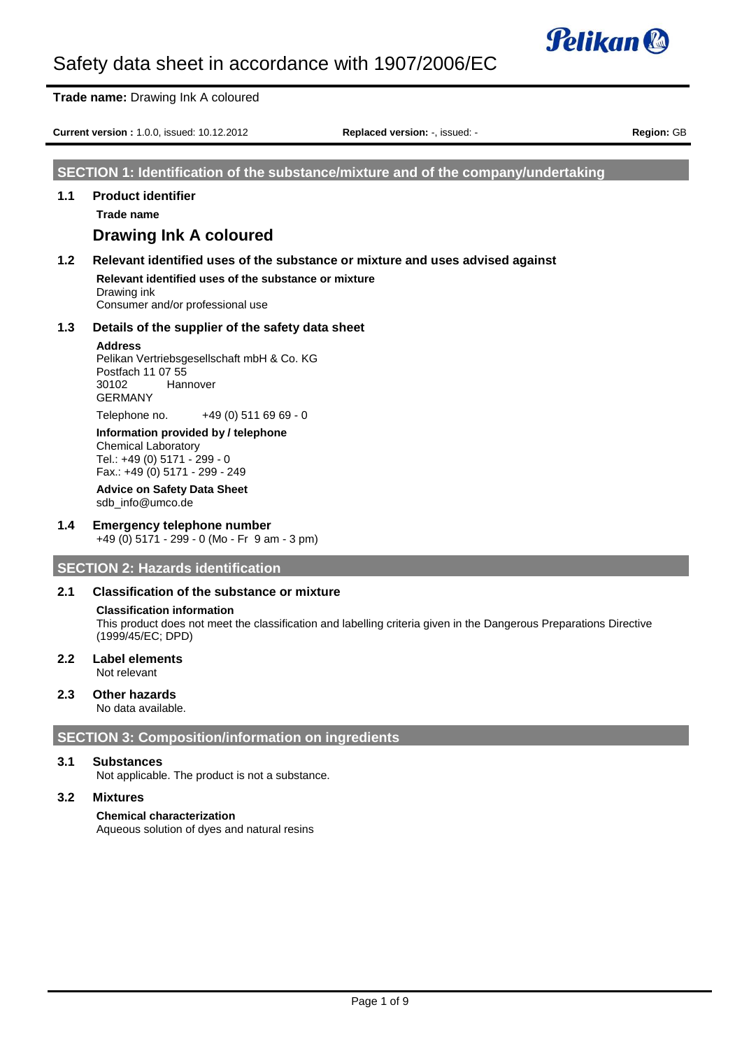

|     | <b>Trade name: Drawing Ink A coloured</b>                                                                                                                                                                                                                                                                                                                                                           |                                                                                   |                   |
|-----|-----------------------------------------------------------------------------------------------------------------------------------------------------------------------------------------------------------------------------------------------------------------------------------------------------------------------------------------------------------------------------------------------------|-----------------------------------------------------------------------------------|-------------------|
|     | <b>Current version: 1.0.0, issued: 10.12.2012</b>                                                                                                                                                                                                                                                                                                                                                   | Replaced version: -, issued: -                                                    | <b>Region: GB</b> |
|     |                                                                                                                                                                                                                                                                                                                                                                                                     | SECTION 1: Identification of the substance/mixture and of the company/undertaking |                   |
| 1.1 | <b>Product identifier</b><br><b>Trade name</b><br>Drawing Ink A coloured                                                                                                                                                                                                                                                                                                                            |                                                                                   |                   |
| 1.2 | Relevant identified uses of the substance or mixture and uses advised against<br>Relevant identified uses of the substance or mixture<br>Drawing ink<br>Consumer and/or professional use                                                                                                                                                                                                            |                                                                                   |                   |
| 1.3 | Details of the supplier of the safety data sheet<br><b>Address</b><br>Pelikan Vertriebsgesellschaft mbH & Co. KG<br>Postfach 11 07 55<br>30102<br>Hannover<br><b>GERMANY</b><br>+49 (0) 511 69 69 - 0<br>Telephone no.<br>Information provided by / telephone<br><b>Chemical Laboratory</b><br>Tel.: +49 (0) 5171 - 299 - 0<br>Fax.: +49 (0) 5171 - 299 - 249<br><b>Advice on Safety Data Sheet</b> |                                                                                   |                   |

sdb\_info@umco.de

#### **1.4 Emergency telephone number** +49 (0) 5171 - 299 - 0 (Mo - Fr 9 am - 3 pm)

**SECTION 2: Hazards identification**

#### **2.1 Classification of the substance or mixture**

#### **Classification information**

This product does not meet the classification and labelling criteria given in the Dangerous Preparations Directive (1999/45/EC; DPD)

**2.2 Label elements** Not relevant

#### **2.3 Other hazards**

No data available.

## **SECTION 3: Composition/information on ingredients**

#### **3.1 Substances**

Not applicable. The product is not a substance.

## **3.2 Mixtures**

#### **Chemical characterization**

Aqueous solution of dyes and natural resins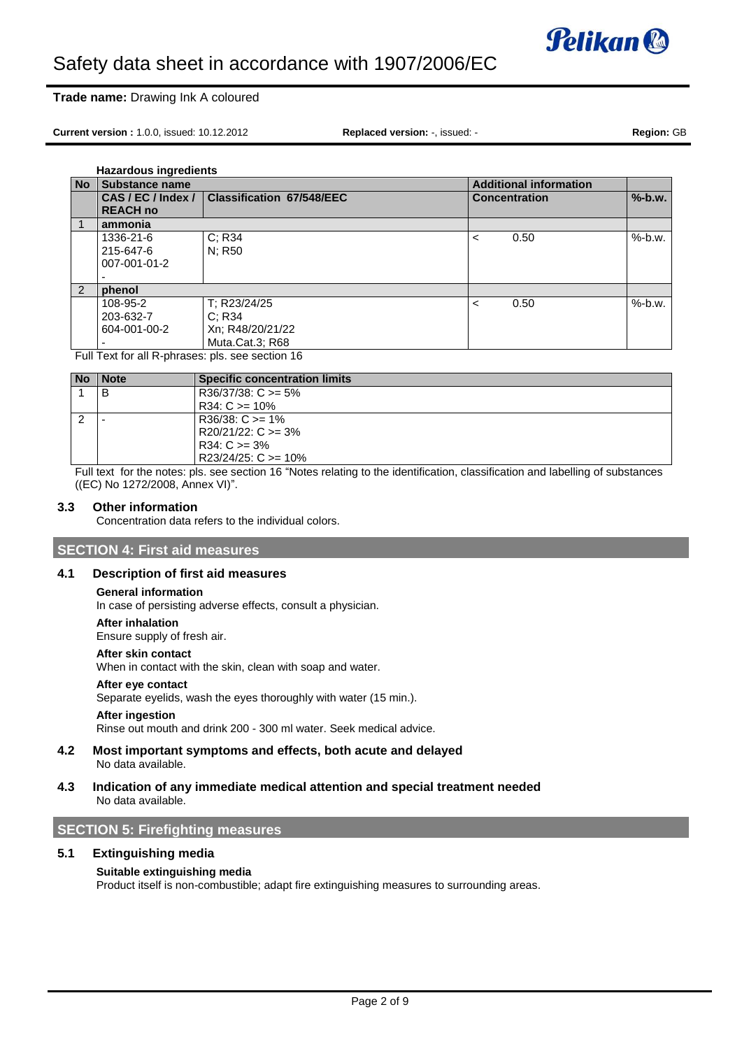

#### **Trade name:** Drawing Ink A coloured

**Current version :** 1.0.0, issued: 10.12.2012 **Replaced version:** -, issued: - **Region:** GB

**Hazardous ingredients**

| <b>No</b> | <b>Substance name</b>                                                                                   |                                  | <b>Additional information</b> |           |  |  |  |  |
|-----------|---------------------------------------------------------------------------------------------------------|----------------------------------|-------------------------------|-----------|--|--|--|--|
|           | CAS/EC/Index/                                                                                           | <b>Classification 67/548/EEC</b> | <b>Concentration</b>          | $%$ -b.w. |  |  |  |  |
|           | <b>REACH no</b>                                                                                         |                                  |                               |           |  |  |  |  |
|           | ammonia                                                                                                 |                                  |                               |           |  |  |  |  |
|           | 1336-21-6                                                                                               | C; R34                           | 0.50<br>≺                     | $%$ -b.w. |  |  |  |  |
|           | 215-647-6                                                                                               | N: R50                           |                               |           |  |  |  |  |
|           | 007-001-01-2                                                                                            |                                  |                               |           |  |  |  |  |
|           |                                                                                                         |                                  |                               |           |  |  |  |  |
| 2         | phenol                                                                                                  |                                  |                               |           |  |  |  |  |
|           | 108-95-2                                                                                                | T; R23/24/25                     | 0.50<br>≺                     | $%$ -b.w. |  |  |  |  |
|           | 203-632-7                                                                                               | C: R34                           |                               |           |  |  |  |  |
|           | 604-001-00-2                                                                                            | Xn; R48/20/21/22                 |                               |           |  |  |  |  |
|           |                                                                                                         | Muta.Cat.3; R68                  |                               |           |  |  |  |  |
|           | $\cdots$ $\sim$ $\cdots$<br>$\mathbf{r}$ and $\mathbf{r}$ and $\mathbf{r}$<br>$\cdots$<br>$\sim$ $\sim$ |                                  |                               |           |  |  |  |  |

Full Text for all R-phrases: pls. see section 16

| <b>Note</b> | <b>Specific concentration limits</b> |
|-------------|--------------------------------------|
| В           | $R36/37/38$ : C $>= 5\%$             |
|             | $R34: C \ge 10\%$                    |
|             | $R36/38$ : C $>= 1\%$                |
|             | $R20/21/22$ : C $>=$ 3%              |
|             | $R34: C \ge 3\%$                     |
|             | $R23/24/25$ : C $>= 10\%$            |

Full text for the notes: pls. see section 16 "Notes relating to the identification, classification and labelling of substances ((EC) No 1272/2008, Annex VI)".

#### **3.3 Other information**

Concentration data refers to the individual colors.

### **SECTION 4: First aid measures**

#### **4.1 Description of first aid measures**

#### **General information**

In case of persisting adverse effects, consult a physician.

#### **After inhalation**

Ensure supply of fresh air.

#### **After skin contact**

When in contact with the skin, clean with soap and water.

#### **After eye contact**

Separate eyelids, wash the eyes thoroughly with water (15 min.).

#### **After ingestion**

Rinse out mouth and drink 200 - 300 ml water. Seek medical advice.

- **4.2 Most important symptoms and effects, both acute and delayed** No data available.
- **4.3 Indication of any immediate medical attention and special treatment needed** No data available.

#### **SECTION 5: Firefighting measures**

#### **5.1 Extinguishing media**

#### **Suitable extinguishing media**

Product itself is non-combustible; adapt fire extinguishing measures to surrounding areas.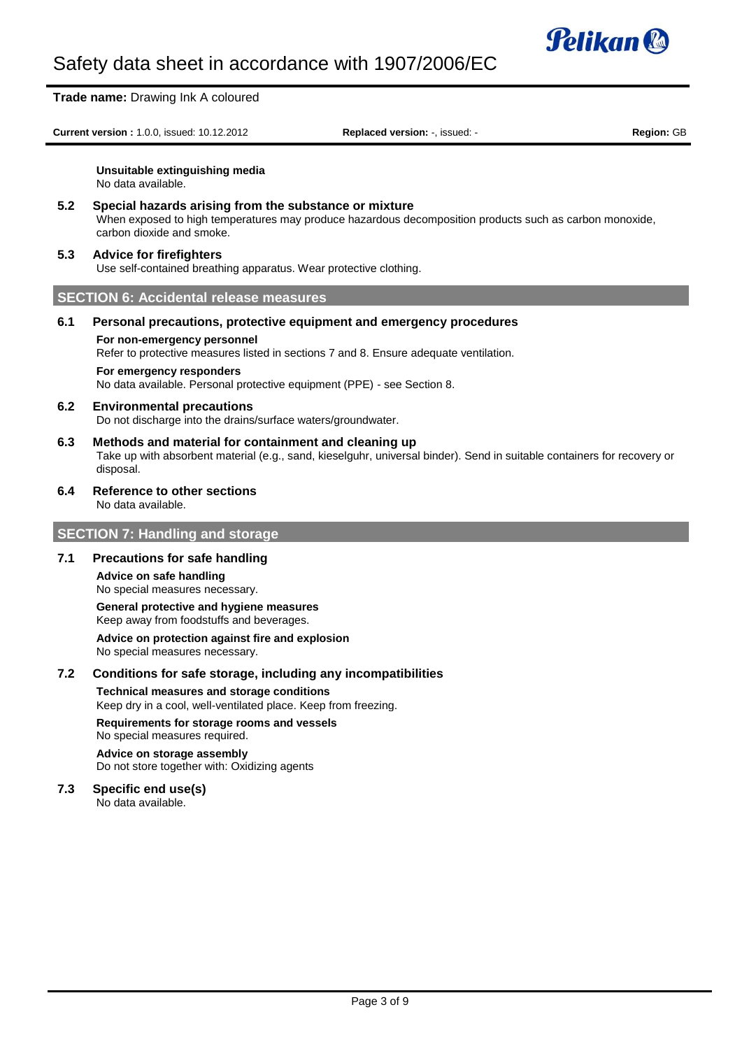

**Trade name:** Drawing Ink A coloured **Current version :** 1.0.0, issued: 10.12.2012 **Replaced version:** -, issued: - **Region:** GB **Unsuitable extinguishing media** No data available. **5.2 Special hazards arising from the substance or mixture** When exposed to high temperatures may produce hazardous decomposition products such as carbon monoxide, carbon dioxide and smoke. **5.3 Advice for firefighters** Use self-contained breathing apparatus. Wear protective clothing. **SECTION 6: Accidental release measures 6.1 Personal precautions, protective equipment and emergency procedures For non-emergency personnel** Refer to protective measures listed in sections 7 and 8. Ensure adequate ventilation. **For emergency responders** No data available. Personal protective equipment (PPE) - see Section 8. **6.2 Environmental precautions** Do not discharge into the drains/surface waters/groundwater. **6.3 Methods and material for containment and cleaning up** Take up with absorbent material (e.g., sand, kieselguhr, universal binder). Send in suitable containers for recovery or disposal. **6.4 Reference to other sections** No data available. **SECTION 7: Handling and storage 7.1 Precautions for safe handling Advice on safe handling** No special measures necessary. **General protective and hygiene measures** Keep away from foodstuffs and beverages. **Advice on protection against fire and explosion**

No special measures necessary.

#### **7.2 Conditions for safe storage, including any incompatibilities**

**Technical measures and storage conditions** Keep dry in a cool, well-ventilated place. Keep from freezing.

#### **Requirements for storage rooms and vessels** No special measures required.

#### **Advice on storage assembly** Do not store together with: Oxidizing agents

## **7.3 Specific end use(s)**

No data available.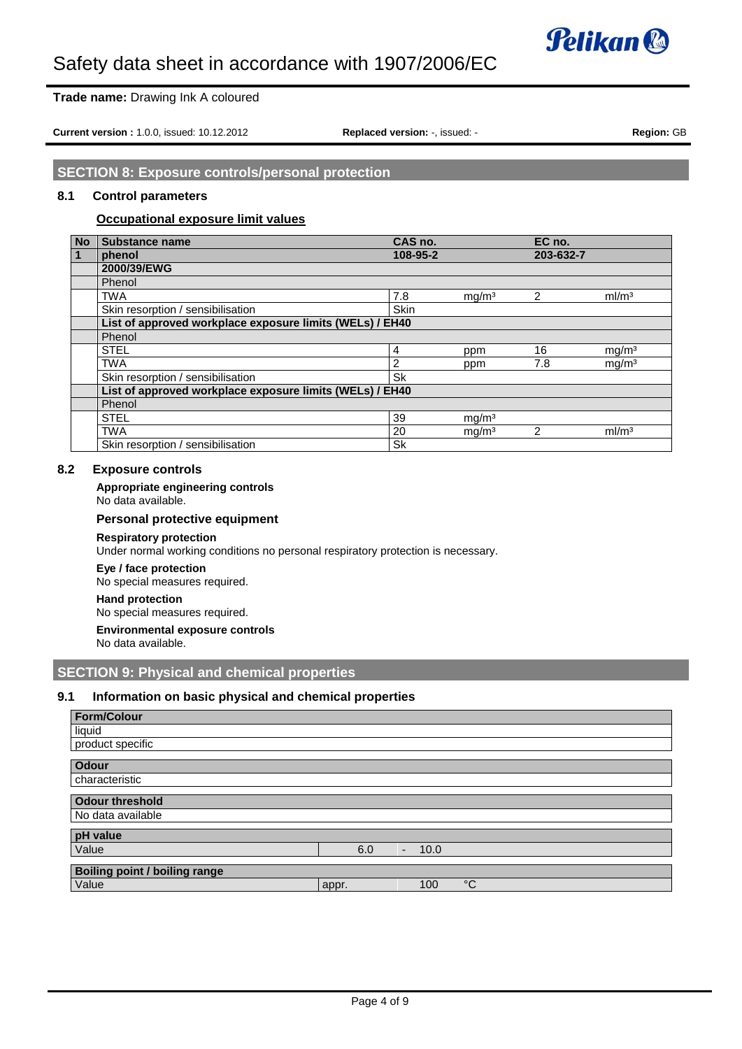

### **Trade name:** Drawing Ink A coloured

**Current version :** 1.0.0, issued: 10.12.2012 **Replaced version:** -, issued: - **Region:** GB

**SECTION 8: Exposure controls/personal protection**

#### **8.1 Control parameters**

#### **Occupational exposure limit values**

| <b>No</b>    | Substance name                                           | CAS no.        |                   | EC no.         |                   |
|--------------|----------------------------------------------------------|----------------|-------------------|----------------|-------------------|
| $\mathbf{1}$ | phenol                                                   | 108-95-2       |                   | 203-632-7      |                   |
|              | 2000/39/EWG                                              |                |                   |                |                   |
|              | Phenol                                                   |                |                   |                |                   |
|              | <b>TWA</b>                                               | 7.8            | mg/m <sup>3</sup> | 2              | ml/m <sup>3</sup> |
|              | Skin resorption / sensibilisation                        | <b>Skin</b>    |                   |                |                   |
|              | List of approved workplace exposure limits (WELs) / EH40 |                |                   |                |                   |
|              | Phenol                                                   |                |                   |                |                   |
|              | <b>STEL</b>                                              | $\overline{4}$ | ppm               | 16             | mg/m <sup>3</sup> |
|              | <b>TWA</b>                                               | $\overline{2}$ | ppm               | 7.8            | mg/m <sup>3</sup> |
|              | Skin resorption / sensibilisation                        | <b>Sk</b>      |                   |                |                   |
|              | List of approved workplace exposure limits (WELs) / EH40 |                |                   |                |                   |
|              | Phenol                                                   |                |                   |                |                   |
|              | <b>STEL</b>                                              | 39             | mg/m <sup>3</sup> |                |                   |
|              | <b>TWA</b>                                               | 20             | mg/m <sup>3</sup> | $\overline{2}$ | ml/m <sup>3</sup> |
|              | Skin resorption / sensibilisation                        | <b>Sk</b>      |                   |                |                   |

## **8.2 Exposure controls**

#### **Appropriate engineering controls**

No data available.

#### **Personal protective equipment**

#### **Respiratory protection**

Under normal working conditions no personal respiratory protection is necessary.

**Eye / face protection**

## No special measures required.

#### **Hand protection**

No special measures required.

#### **Environmental exposure controls** No data available.

## **SECTION 9: Physical and chemical properties**

#### **9.1 Information on basic physical and chemical properties**

| <b>Form/Colour</b>                   |       |                                  |             |
|--------------------------------------|-------|----------------------------------|-------------|
| liquid                               |       |                                  |             |
| product specific                     |       |                                  |             |
| <b>Odour</b>                         |       |                                  |             |
| characteristic                       |       |                                  |             |
| <b>Odour threshold</b>               |       |                                  |             |
| No data available                    |       |                                  |             |
| pH value                             |       |                                  |             |
| Value                                | 6.0   | 10.0<br>$\overline{\phantom{0}}$ |             |
| <b>Boiling point / boiling range</b> |       |                                  |             |
| Value                                | appr. | 100                              | $^{\circ}C$ |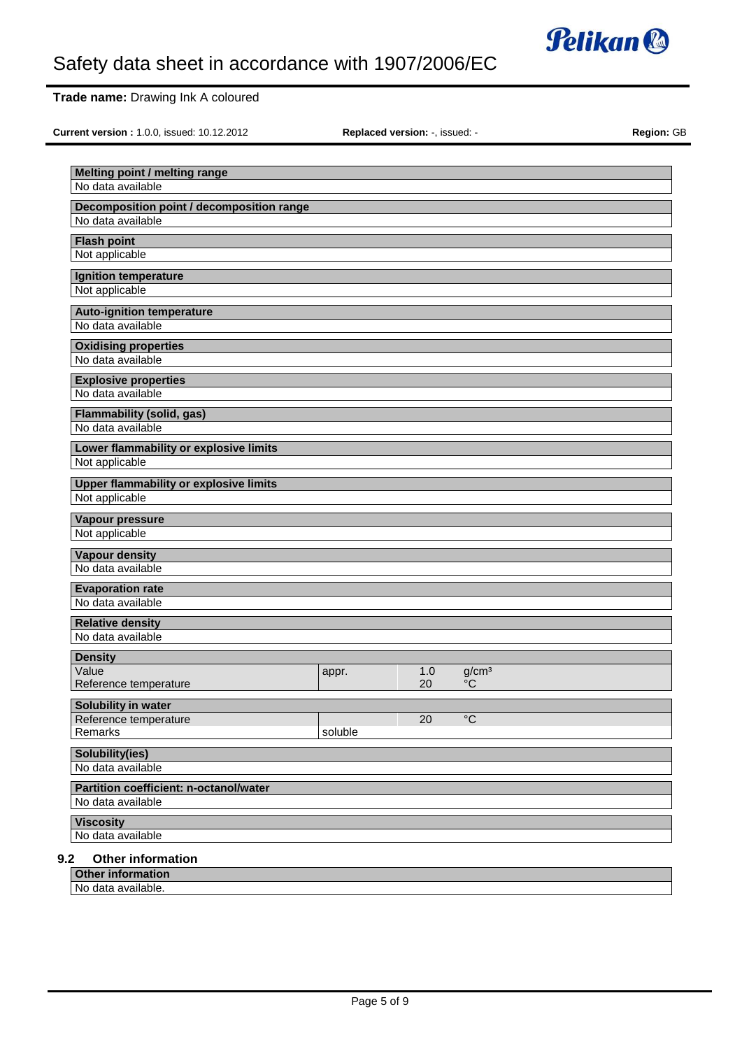

## **Trade name:** Drawing Ink A coloured

**Current version :** 1.0.0, issued: 10.12.2012 **Replaced version:** -, issued: - **Region:** GB

| No data available<br>Decomposition point / decomposition range<br>No data available<br><b>Flash point</b><br>Not applicable<br><b>Ignition temperature</b><br>Not applicable<br><b>Auto-ignition temperature</b><br>No data available<br><b>Oxidising properties</b><br>No data available<br><b>Explosive properties</b><br>No data available<br><b>Flammability (solid, gas)</b><br>No data available<br>Lower flammability or explosive limits<br>Not applicable<br><b>Upper flammability or explosive limits</b><br>Not applicable<br>Vapour pressure<br>Not applicable<br><b>Vapour density</b><br>No data available<br><b>Evaporation rate</b><br>No data available<br><b>Relative density</b><br>No data available<br><b>Density</b><br>Value<br>1.0<br>g/cm <sup>3</sup><br>appr.<br>$\rm ^{\circ}C$<br>20<br>Reference temperature<br>Solubility in water<br>Reference temperature<br>20<br>$^{\circ}C$<br>Remarks<br>soluble<br>Solubility(ies)<br>No data available<br>Partition coefficient: n-octanol/water<br>No data available<br><b>Viscosity</b><br>No data available |                               |  |  |
|---------------------------------------------------------------------------------------------------------------------------------------------------------------------------------------------------------------------------------------------------------------------------------------------------------------------------------------------------------------------------------------------------------------------------------------------------------------------------------------------------------------------------------------------------------------------------------------------------------------------------------------------------------------------------------------------------------------------------------------------------------------------------------------------------------------------------------------------------------------------------------------------------------------------------------------------------------------------------------------------------------------------------------------------------------------------------------------|-------------------------------|--|--|
|                                                                                                                                                                                                                                                                                                                                                                                                                                                                                                                                                                                                                                                                                                                                                                                                                                                                                                                                                                                                                                                                                       | Melting point / melting range |  |  |
|                                                                                                                                                                                                                                                                                                                                                                                                                                                                                                                                                                                                                                                                                                                                                                                                                                                                                                                                                                                                                                                                                       |                               |  |  |
|                                                                                                                                                                                                                                                                                                                                                                                                                                                                                                                                                                                                                                                                                                                                                                                                                                                                                                                                                                                                                                                                                       |                               |  |  |
|                                                                                                                                                                                                                                                                                                                                                                                                                                                                                                                                                                                                                                                                                                                                                                                                                                                                                                                                                                                                                                                                                       |                               |  |  |
|                                                                                                                                                                                                                                                                                                                                                                                                                                                                                                                                                                                                                                                                                                                                                                                                                                                                                                                                                                                                                                                                                       |                               |  |  |
|                                                                                                                                                                                                                                                                                                                                                                                                                                                                                                                                                                                                                                                                                                                                                                                                                                                                                                                                                                                                                                                                                       |                               |  |  |
|                                                                                                                                                                                                                                                                                                                                                                                                                                                                                                                                                                                                                                                                                                                                                                                                                                                                                                                                                                                                                                                                                       |                               |  |  |
|                                                                                                                                                                                                                                                                                                                                                                                                                                                                                                                                                                                                                                                                                                                                                                                                                                                                                                                                                                                                                                                                                       |                               |  |  |
|                                                                                                                                                                                                                                                                                                                                                                                                                                                                                                                                                                                                                                                                                                                                                                                                                                                                                                                                                                                                                                                                                       |                               |  |  |
|                                                                                                                                                                                                                                                                                                                                                                                                                                                                                                                                                                                                                                                                                                                                                                                                                                                                                                                                                                                                                                                                                       |                               |  |  |
|                                                                                                                                                                                                                                                                                                                                                                                                                                                                                                                                                                                                                                                                                                                                                                                                                                                                                                                                                                                                                                                                                       |                               |  |  |
|                                                                                                                                                                                                                                                                                                                                                                                                                                                                                                                                                                                                                                                                                                                                                                                                                                                                                                                                                                                                                                                                                       |                               |  |  |
|                                                                                                                                                                                                                                                                                                                                                                                                                                                                                                                                                                                                                                                                                                                                                                                                                                                                                                                                                                                                                                                                                       |                               |  |  |
|                                                                                                                                                                                                                                                                                                                                                                                                                                                                                                                                                                                                                                                                                                                                                                                                                                                                                                                                                                                                                                                                                       |                               |  |  |
|                                                                                                                                                                                                                                                                                                                                                                                                                                                                                                                                                                                                                                                                                                                                                                                                                                                                                                                                                                                                                                                                                       |                               |  |  |
|                                                                                                                                                                                                                                                                                                                                                                                                                                                                                                                                                                                                                                                                                                                                                                                                                                                                                                                                                                                                                                                                                       |                               |  |  |
|                                                                                                                                                                                                                                                                                                                                                                                                                                                                                                                                                                                                                                                                                                                                                                                                                                                                                                                                                                                                                                                                                       |                               |  |  |
|                                                                                                                                                                                                                                                                                                                                                                                                                                                                                                                                                                                                                                                                                                                                                                                                                                                                                                                                                                                                                                                                                       |                               |  |  |
|                                                                                                                                                                                                                                                                                                                                                                                                                                                                                                                                                                                                                                                                                                                                                                                                                                                                                                                                                                                                                                                                                       |                               |  |  |
|                                                                                                                                                                                                                                                                                                                                                                                                                                                                                                                                                                                                                                                                                                                                                                                                                                                                                                                                                                                                                                                                                       |                               |  |  |
|                                                                                                                                                                                                                                                                                                                                                                                                                                                                                                                                                                                                                                                                                                                                                                                                                                                                                                                                                                                                                                                                                       |                               |  |  |
|                                                                                                                                                                                                                                                                                                                                                                                                                                                                                                                                                                                                                                                                                                                                                                                                                                                                                                                                                                                                                                                                                       |                               |  |  |
|                                                                                                                                                                                                                                                                                                                                                                                                                                                                                                                                                                                                                                                                                                                                                                                                                                                                                                                                                                                                                                                                                       |                               |  |  |
|                                                                                                                                                                                                                                                                                                                                                                                                                                                                                                                                                                                                                                                                                                                                                                                                                                                                                                                                                                                                                                                                                       |                               |  |  |
|                                                                                                                                                                                                                                                                                                                                                                                                                                                                                                                                                                                                                                                                                                                                                                                                                                                                                                                                                                                                                                                                                       |                               |  |  |
|                                                                                                                                                                                                                                                                                                                                                                                                                                                                                                                                                                                                                                                                                                                                                                                                                                                                                                                                                                                                                                                                                       |                               |  |  |
|                                                                                                                                                                                                                                                                                                                                                                                                                                                                                                                                                                                                                                                                                                                                                                                                                                                                                                                                                                                                                                                                                       |                               |  |  |
|                                                                                                                                                                                                                                                                                                                                                                                                                                                                                                                                                                                                                                                                                                                                                                                                                                                                                                                                                                                                                                                                                       |                               |  |  |
|                                                                                                                                                                                                                                                                                                                                                                                                                                                                                                                                                                                                                                                                                                                                                                                                                                                                                                                                                                                                                                                                                       |                               |  |  |
|                                                                                                                                                                                                                                                                                                                                                                                                                                                                                                                                                                                                                                                                                                                                                                                                                                                                                                                                                                                                                                                                                       |                               |  |  |
|                                                                                                                                                                                                                                                                                                                                                                                                                                                                                                                                                                                                                                                                                                                                                                                                                                                                                                                                                                                                                                                                                       |                               |  |  |
|                                                                                                                                                                                                                                                                                                                                                                                                                                                                                                                                                                                                                                                                                                                                                                                                                                                                                                                                                                                                                                                                                       |                               |  |  |
|                                                                                                                                                                                                                                                                                                                                                                                                                                                                                                                                                                                                                                                                                                                                                                                                                                                                                                                                                                                                                                                                                       |                               |  |  |
|                                                                                                                                                                                                                                                                                                                                                                                                                                                                                                                                                                                                                                                                                                                                                                                                                                                                                                                                                                                                                                                                                       |                               |  |  |
|                                                                                                                                                                                                                                                                                                                                                                                                                                                                                                                                                                                                                                                                                                                                                                                                                                                                                                                                                                                                                                                                                       |                               |  |  |
|                                                                                                                                                                                                                                                                                                                                                                                                                                                                                                                                                                                                                                                                                                                                                                                                                                                                                                                                                                                                                                                                                       |                               |  |  |
|                                                                                                                                                                                                                                                                                                                                                                                                                                                                                                                                                                                                                                                                                                                                                                                                                                                                                                                                                                                                                                                                                       |                               |  |  |
|                                                                                                                                                                                                                                                                                                                                                                                                                                                                                                                                                                                                                                                                                                                                                                                                                                                                                                                                                                                                                                                                                       |                               |  |  |
|                                                                                                                                                                                                                                                                                                                                                                                                                                                                                                                                                                                                                                                                                                                                                                                                                                                                                                                                                                                                                                                                                       |                               |  |  |
|                                                                                                                                                                                                                                                                                                                                                                                                                                                                                                                                                                                                                                                                                                                                                                                                                                                                                                                                                                                                                                                                                       |                               |  |  |
|                                                                                                                                                                                                                                                                                                                                                                                                                                                                                                                                                                                                                                                                                                                                                                                                                                                                                                                                                                                                                                                                                       |                               |  |  |
| <b>Other information</b>                                                                                                                                                                                                                                                                                                                                                                                                                                                                                                                                                                                                                                                                                                                                                                                                                                                                                                                                                                                                                                                              | 9.2                           |  |  |

**Other information**

No data available.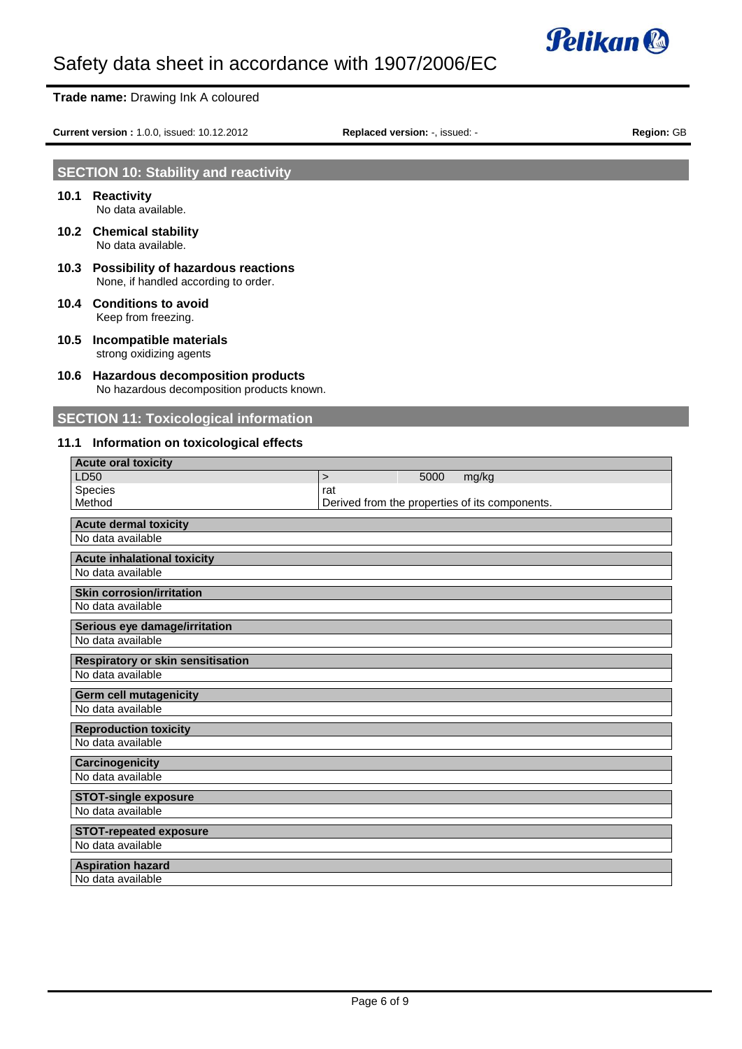

#### **Trade name:** Drawing Ink A coloured

**Current version :** 1.0.0, issued: 10.12.2012 **Replaced version:** -, issued: - **Region:** GB

## **SECTION 10: Stability and reactivity**

- **10.1 Reactivity** No data available.
- **10.2 Chemical stability** No data available.
- **10.3 Possibility of hazardous reactions** None, if handled according to order.
- **10.4 Conditions to avoid** Keep from freezing.
- **10.5 Incompatible materials** strong oxidizing agents
- **10.6 Hazardous decomposition products** No hazardous decomposition products known.

## **SECTION 11: Toxicological information**

## **11.1 Information on toxicological effects**

| <b>Acute oral toxicity</b>         |                                                |      |       |
|------------------------------------|------------------------------------------------|------|-------|
| LD50                               | $\geq$                                         | 5000 | mg/kg |
| Species                            | rat                                            |      |       |
| Method                             | Derived from the properties of its components. |      |       |
| <b>Acute dermal toxicity</b>       |                                                |      |       |
| No data available                  |                                                |      |       |
| <b>Acute inhalational toxicity</b> |                                                |      |       |
| No data available                  |                                                |      |       |
| <b>Skin corrosion/irritation</b>   |                                                |      |       |
| No data available                  |                                                |      |       |
| Serious eye damage/irritation      |                                                |      |       |
| No data available                  |                                                |      |       |
| Respiratory or skin sensitisation  |                                                |      |       |
| No data available                  |                                                |      |       |
| <b>Germ cell mutagenicity</b>      |                                                |      |       |
| No data available                  |                                                |      |       |
| <b>Reproduction toxicity</b>       |                                                |      |       |
| No data available                  |                                                |      |       |
| Carcinogenicity                    |                                                |      |       |
| No data available                  |                                                |      |       |
| <b>STOT-single exposure</b>        |                                                |      |       |
| No data available                  |                                                |      |       |
| <b>STOT-repeated exposure</b>      |                                                |      |       |
| No data available                  |                                                |      |       |
| <b>Aspiration hazard</b>           |                                                |      |       |
| No data available                  |                                                |      |       |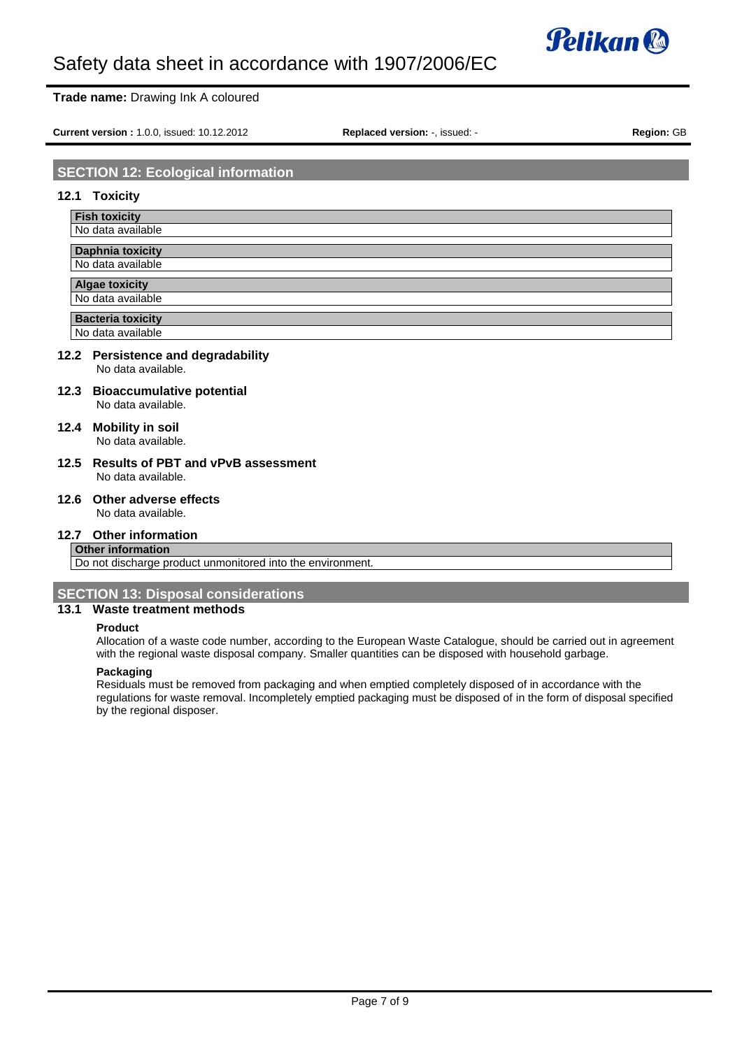

#### **Trade name:** Drawing Ink A coloured

**Current version :** 1.0.0, issued: 10.12.2012 **Replaced version:** -, issued: - **Region:** GB

## **SECTION 12: Ecological information**

#### **12.1 Toxicity**

| <b>Fish toxicity</b>     |
|--------------------------|
| No data available        |
|                          |
| <b>Daphnia toxicity</b>  |
| No data available        |
|                          |
| <b>Algae toxicity</b>    |
| No data available        |
|                          |
| <b>Bacteria toxicity</b> |
| No data available        |

#### **12.2 Persistence and degradability** No data available.

- **12.3 Bioaccumulative potential** No data available.
- **12.4 Mobility in soil** No data available.
- **12.5 Results of PBT and vPvB assessment** No data available.
- **12.6 Other adverse effects** No data available.

**12.7 Other information**

#### **Other information**

Do not discharge product unmonitored into the environment.

## **SECTION 13: Disposal considerations**

### **13.1 Waste treatment methods**

#### **Product**

Allocation of a waste code number, according to the European Waste Catalogue, should be carried out in agreement with the regional waste disposal company. Smaller quantities can be disposed with household garbage.

#### **Packaging**

Residuals must be removed from packaging and when emptied completely disposed of in accordance with the regulations for waste removal. Incompletely emptied packaging must be disposed of in the form of disposal specified by the regional disposer.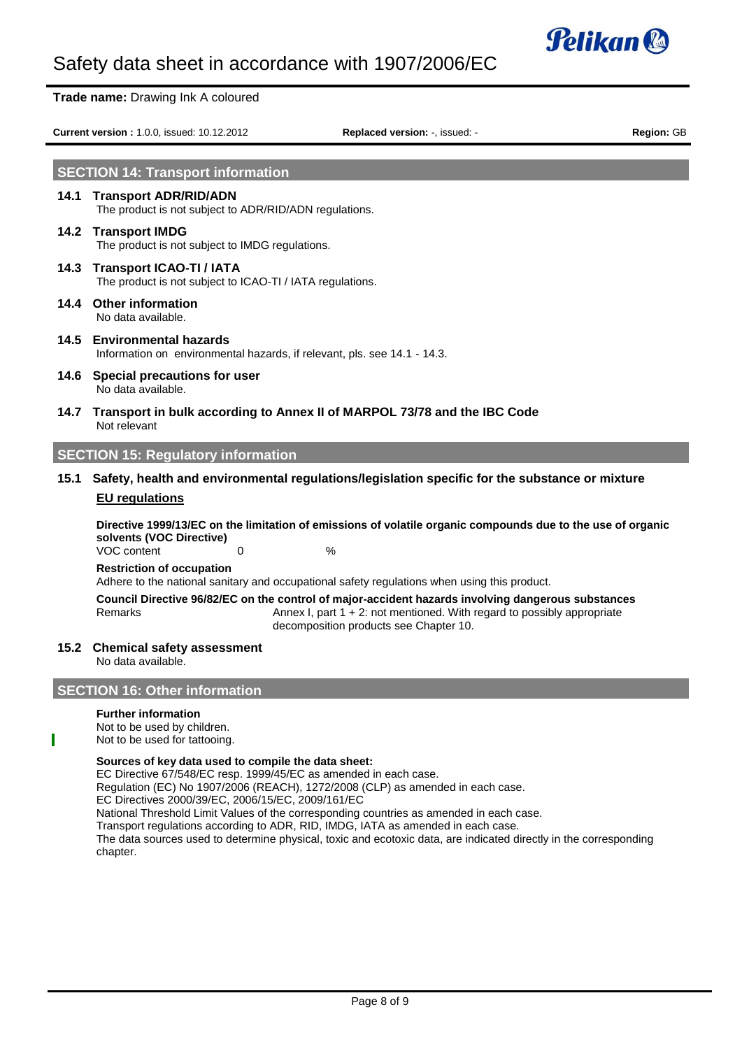

|      | Trade name: Drawing Ink A coloured                                                         |                                                                                                                                                                                                                            |            |
|------|--------------------------------------------------------------------------------------------|----------------------------------------------------------------------------------------------------------------------------------------------------------------------------------------------------------------------------|------------|
|      | Current version: 1.0.0, issued: 10.12.2012                                                 | <b>Replaced version:</b> , issued: -                                                                                                                                                                                       | Region: GB |
|      | <b>SECTION 14: Transport information</b>                                                   |                                                                                                                                                                                                                            |            |
|      | 14.1 Transport ADR/RID/ADN<br>The product is not subject to ADR/RID/ADN regulations.       |                                                                                                                                                                                                                            |            |
|      | 14.2 Transport IMDG<br>The product is not subject to IMDG regulations.                     |                                                                                                                                                                                                                            |            |
|      | 14.3 Transport ICAO-TI / IATA<br>The product is not subject to ICAO-TI / IATA regulations. |                                                                                                                                                                                                                            |            |
|      | 14.4 Other information<br>No data available.                                               |                                                                                                                                                                                                                            |            |
|      | 14.5 Environmental hazards                                                                 | Information on environmental hazards, if relevant, pls. see 14.1 - 14.3.                                                                                                                                                   |            |
|      | 14.6 Special precautions for user<br>No data available.                                    |                                                                                                                                                                                                                            |            |
|      | Not relevant                                                                               | 14.7 Transport in bulk according to Annex II of MARPOL 73/78 and the IBC Code                                                                                                                                              |            |
|      | <b>SECTION 15: Regulatory information</b>                                                  |                                                                                                                                                                                                                            |            |
| 15.1 |                                                                                            | Safety, health and environmental regulations/legislation specific for the substance or mixture                                                                                                                             |            |
|      | <b>EU</b> regulations                                                                      |                                                                                                                                                                                                                            |            |
|      | solvents (VOC Directive)                                                                   | Directive 1999/13/EC on the limitation of emissions of volatile organic compounds due to the use of organic                                                                                                                |            |
|      | VOC content<br>0<br><b>Restriction of occupation</b>                                       | %                                                                                                                                                                                                                          |            |
|      |                                                                                            | Adhere to the national sanitary and occupational safety regulations when using this product.                                                                                                                               |            |
|      | Remarks                                                                                    | Council Directive 96/82/EC on the control of major-accident hazards involving dangerous substances<br>Annex I, part $1 + 2$ : not mentioned. With regard to possibly appropriate<br>decomposition products see Chapter 10. |            |
|      | 15.2 Chemical safety assessment<br>No data available.                                      |                                                                                                                                                                                                                            |            |
|      | <b>SECTION 16: Other information</b>                                                       |                                                                                                                                                                                                                            |            |
|      | <b>Further information</b><br>Not to be used by children.<br>Not to be used for tattooing. |                                                                                                                                                                                                                            |            |

#### **Sources of key data used to compile the data sheet:**

EC Directive 67/548/EC resp. 1999/45/EC as amended in each case. Regulation (EC) No 1907/2006 (REACH), 1272/2008 (CLP) as amended in each case. EC Directives 2000/39/EC, 2006/15/EC, 2009/161/EC National Threshold Limit Values of the corresponding countries as amended in each case. Transport regulations according to ADR, RID, IMDG, IATA as amended in each case. The data sources used to determine physical, toxic and ecotoxic data, are indicated directly in the corresponding chapter.